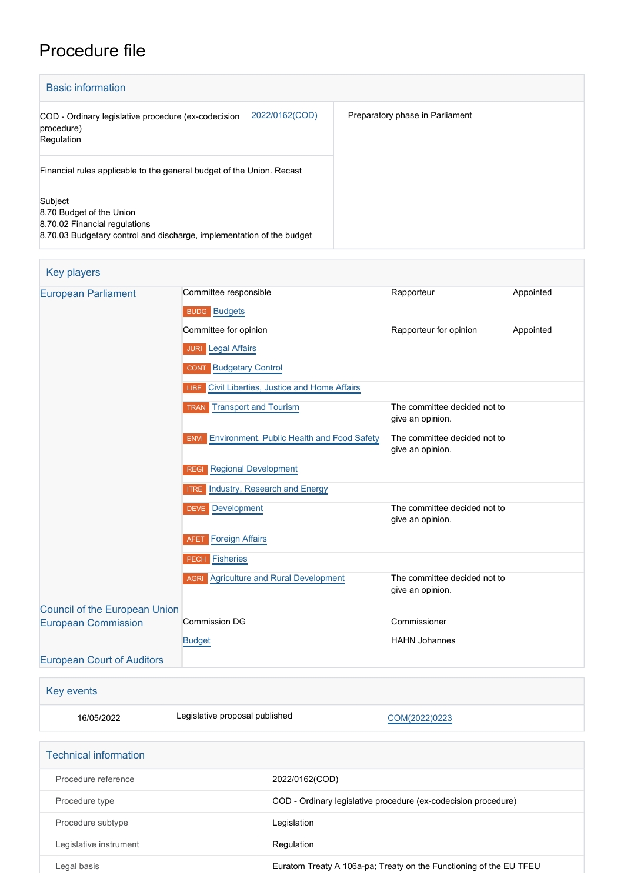## Procedure file

| <b>Basic information</b>                                                                                                                      |                                 |
|-----------------------------------------------------------------------------------------------------------------------------------------------|---------------------------------|
| 2022/0162(COD)<br>COD - Ordinary legislative procedure (ex-codecision<br>procedure)<br>Regulation                                             | Preparatory phase in Parliament |
| Financial rules applicable to the general budget of the Union. Recast                                                                         |                                 |
| Subject<br>8.70 Budget of the Union<br>8.70.02 Financial regulations<br>8.70.03 Budgetary control and discharge, implementation of the budget |                                 |

| <b>Key players</b>                |                                                                  |                                                  |           |
|-----------------------------------|------------------------------------------------------------------|--------------------------------------------------|-----------|
| <b>European Parliament</b>        | Committee responsible                                            | Rapporteur                                       | Appointed |
|                                   | <b>BUDG</b> Budgets                                              |                                                  |           |
|                                   | Committee for opinion                                            | Rapporteur for opinion                           | Appointed |
|                                   | <b>JURI</b> Legal Affairs                                        |                                                  |           |
|                                   | <b>CONT</b> Budgetary Control                                    |                                                  |           |
|                                   | LIBE Civil Liberties, Justice and Home Affairs                   |                                                  |           |
|                                   | <b>TRAN</b> Transport and Tourism                                | The committee decided not to<br>give an opinion. |           |
|                                   | <b>Environment, Public Health and Food Safety</b><br><b>ENVI</b> | The committee decided not to<br>give an opinion. |           |
|                                   | <b>Regional Development</b><br><b>REGI</b>                       |                                                  |           |
|                                   | <b>ITRE</b> Industry, Research and Energy                        |                                                  |           |
|                                   | <b>DEVE</b> Development                                          | The committee decided not to<br>give an opinion. |           |
|                                   | <b>Foreign Affairs</b><br><b>AFET</b>                            |                                                  |           |
|                                   | <b>PECH</b> Fisheries                                            |                                                  |           |
|                                   | <b>AGRI</b> Agriculture and Rural Development                    | The committee decided not to<br>give an opinion. |           |
| Council of the European Union     |                                                                  |                                                  |           |
| <b>European Commission</b>        | <b>Commission DG</b>                                             | Commissioner                                     |           |
|                                   | <b>Budget</b>                                                    | <b>HAHN Johannes</b>                             |           |
| <b>European Court of Auditors</b> |                                                                  |                                                  |           |
|                                   |                                                                  |                                                  |           |

| Key events |                                |               |  |
|------------|--------------------------------|---------------|--|
| 16/05/2022 | Legislative proposal published | COM(2022)0223 |  |
|            |                                |               |  |

| <b>Technical information</b> |                                                                    |
|------------------------------|--------------------------------------------------------------------|
| Procedure reference          | 2022/0162(COD)                                                     |
| Procedure type               | COD - Ordinary legislative procedure (ex-codecision procedure)     |
| Procedure subtype            | Legislation                                                        |
| Legislative instrument       | Regulation                                                         |
| Legal basis                  | Euratom Treaty A 106a-pa; Treaty on the Functioning of the EU TFEU |